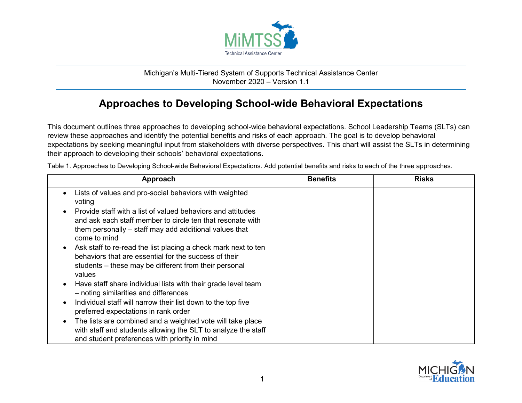

## Michigan's Multi-Tiered System of Supports Technical Assistance Center November 2020 – Version 1.1

## **Approaches to Developing School-wide Behavioral Expectations**

This document outlines three approaches to developing school-wide behavioral expectations. School Leadership Teams (SLTs) can review these approaches and identify the potential benefits and risks of each approach. The goal is to develop behavioral expectations by seeking meaningful input from stakeholders with diverse perspectives. This chart will assist the SLTs in determining their approach to developing their schools' behavioral expectations.

| Approach                                                                                                                                                                                            | <b>Benefits</b> | <b>Risks</b> |
|-----------------------------------------------------------------------------------------------------------------------------------------------------------------------------------------------------|-----------------|--------------|
| Lists of values and pro-social behaviors with weighted<br>voting                                                                                                                                    |                 |              |
| Provide staff with a list of valued behaviors and attitudes<br>and ask each staff member to circle ten that resonate with<br>them personally – staff may add additional values that<br>come to mind |                 |              |
| Ask staff to re-read the list placing a check mark next to ten<br>behaviors that are essential for the success of their<br>students – these may be different from their personal<br>values          |                 |              |
| Have staff share individual lists with their grade level team<br>- noting similarities and differences                                                                                              |                 |              |
| Individual staff will narrow their list down to the top five<br>preferred expectations in rank order                                                                                                |                 |              |
| The lists are combined and a weighted vote will take place<br>with staff and students allowing the SLT to analyze the staff<br>and student preferences with priority in mind                        |                 |              |

Table 1. Approaches to Developing School-wide Behavioral Expectations. Add potential benefits and risks to each of the three approaches.